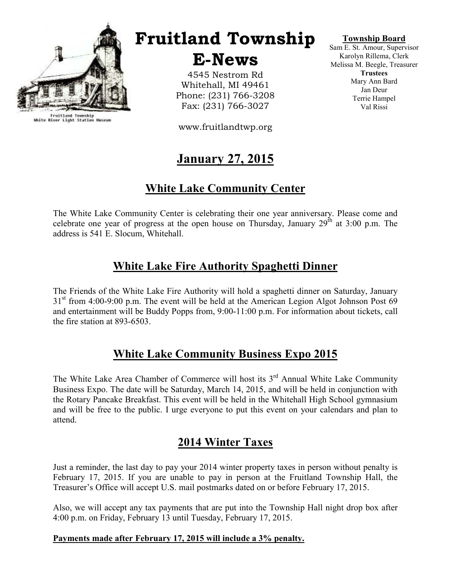

Fruitland Township<br>White River Light Station Museum

# Fruitland Township

E-News

4545 Nestrom Rd Whitehall, MI 49461 Phone: (231) 766-3208 Fax: (231) 766-3027

www.fruitlandtwp.org

# January 27, 2015

### White Lake Community Center

The White Lake Community Center is celebrating their one year anniversary. Please come and celebrate one year of progress at the open house on Thursday, January  $29<sup>th</sup>$  at 3:00 p.m. The address is 541 E. Slocum, Whitehall.

### White Lake Fire Authority Spaghetti Dinner

The Friends of the White Lake Fire Authority will hold a spaghetti dinner on Saturday, January  $31<sup>st</sup>$  from 4:00-9:00 p.m. The event will be held at the American Legion Algot Johnson Post 69 and entertainment will be Buddy Popps from, 9:00-11:00 p.m. For information about tickets, call the fire station at 893-6503.

#### White Lake Community Business Expo 2015

The White Lake Area Chamber of Commerce will host its  $3<sup>rd</sup>$  Annual White Lake Community Business Expo. The date will be Saturday, March 14, 2015, and will be held in conjunction with the Rotary Pancake Breakfast. This event will be held in the Whitehall High School gymnasium and will be free to the public. I urge everyone to put this event on your calendars and plan to attend.

#### 2014 Winter Taxes

Just a reminder, the last day to pay your 2014 winter property taxes in person without penalty is February 17, 2015. If you are unable to pay in person at the Fruitland Township Hall, the Treasurer's Office will accept U.S. mail postmarks dated on or before February 17, 2015.

Also, we will accept any tax payments that are put into the Township Hall night drop box after 4:00 p.m. on Friday, February 13 until Tuesday, February 17, 2015.

#### Payments made after February 17, 2015 will include a 3% penalty.

#### Township Board

Sam E. St. Amour, Supervisor Karolyn Rillema, Clerk Melissa M. Beegle, Treasurer **Trustees** Mary Ann Bard Jan Deur Terrie Hampel Val Rissi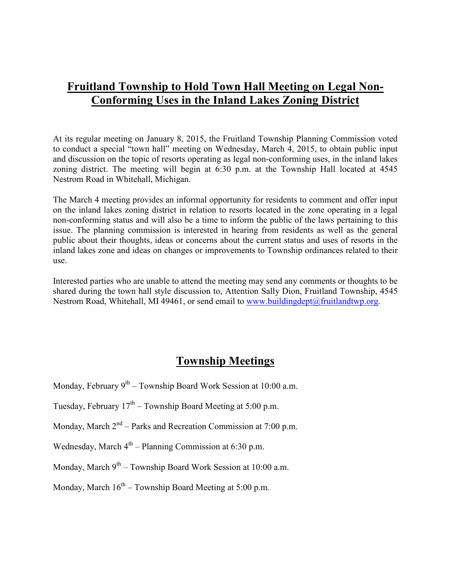### Fruitland Township to Hold Town Hall Meeting on Legal Non-Conforming Uses in the Inland Lakes Zoning District

At its regular meeting on January 8, 2015, the Fruitland Township Planning Commission voted to conduct a special "town hall" meeting on Wednesday, March 4, 2015, to obtain public input and discussion on the topic of resorts operating as legal non-conforming uses, in the inland lakes zoning district. The meeting will begin at 6:30 p.m. at the Township Hall located at 4545 Nestrom Road in Whitehall, Michigan.

The March 4 meeting provides an informal opportunity for residents to comment and offer input on the inland lakes zoning district in relation to resorts located in the zone operating in a legal non-conforming status and will also be a time to inform the public of the laws pertaining to this issue. The planning commission is interested in hearing from residents as well as the general public about their thoughts, ideas or concerns about the current status and uses of resorts in the inland lakes zone and ideas on changes or improvements to Township ordinances related to their use.

Interested parties who are unable to attend the meeting may send any comments or thoughts to be shared during the town hall style discussion to, Attention Sally Dion, Fruitland Township, 4545 Nestrom Road, Whitehall, MI 49461, or send email to www.buildingdept@fruitlandtwp.org.

### Township Meetings

Monday, February  $9^{th}$  – Township Board Work Session at 10:00 a.m.

Tuesday, February  $17<sup>th</sup>$  – Township Board Meeting at 5:00 p.m.

Monday, March  $2<sup>nd</sup>$  – Parks and Recreation Commission at 7:00 p.m.

Wednesday, March  $4<sup>th</sup>$  – Planning Commission at 6:30 p.m.

Monday, March  $9^{th}$  – Township Board Work Session at 10:00 a.m.

Monday, March  $16^{th}$  – Township Board Meeting at 5:00 p.m.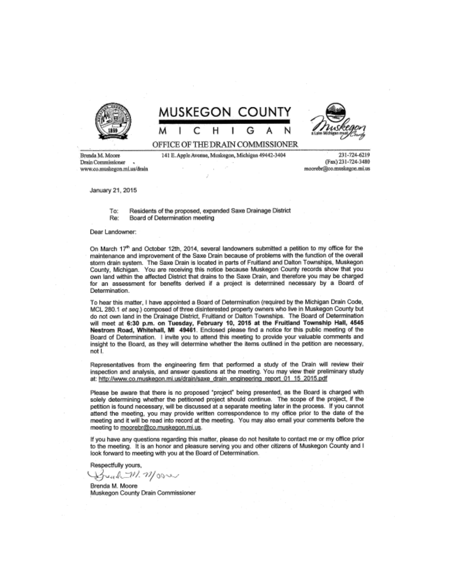

# MUSKEGON COUNTY

н



OFFICE OF THE DRAIN COMMISSIONER

141 E. Apple Avenue, Muskegon, Michigan 49442-3404

Brenda M. Moore Drain Commissioner. www.co.musleegon.mi.us/drain

231-724-6219 (Fax) 231-724-3480 moorebr@co.muskegon.mi.us

January 21, 2015

Residents of the proposed, expanded Saxe Drainage District Ter Re' Board of Determination meeting

Dear Landowner:

On March 17th and October 12th, 2014, several landowners submitted a petition to my office for the maintenance and improvement of the Saxe Drain because of problems with the function of the overall storm drain system. The Saxe Drain is located in parts of Fruitland and Dalton Townships, Muskegon County, Michigan. You are receiving this notice because Muskegon County records show that you own land within the affected District that drains to the Saxe Drain, and therefore you may be charged for an assessment for benefits derived if a project is determined necessary by a Board of Determination.

To hear this matter, I have appointed a Board of Determination (required by the Michigan Drain Code, MCL 280.1 et seq.) composed of three disinterested property owners who live in Muskegon County but do not own land in the Drainage District, Fruitland or Dalton Townships. The Board of Determination will meet at 6:30 p.m. on Tuesday, February 10, 2015 at the Fruitland Township Hall, 4545 Nestrom Road, Whitehall, MI 49461. Enclosed please find a notice for this public meeting of the Board of Determination. I invite you to attend this meeting to provide your valuable comments and insight to the Board, as they will determine whether the items outlined in the petition are necessary, not L

Representatives from the engineering firm that performed a study of the Drain will review their inspection and analysis, and answer questions at the meeting. You may view their preliminary study at: http://www.co.muskegon.mi.us/drain/saxe\_drain\_engineering\_report\_01\_15\_2015.pdf

Please be aware that there is no proposed "project" being presented, as the Board is charged with solely determining whether the petitioned project should continue. The scope of the project, if the petition is found necessary, will be discussed at a separate meeting later in the process. If you cannot attend the meeting, you may provide written correspondence to my office prior to the date of the meeting and it will be read into record at the meeting. You may also email your comments before the meeting to moorebr@co.muskegon.mi.us.

If you have any questions regarding this matter, please do not hesitate to contact me or my office prior to the meeting. It is an honor and pleasure serving you and other citizens of Muskegon County and I look forward to meeting with you at the Board of Determination.

Respectfully yours,

Strend W. M/000

Brenda M. Moore Muskegon County Drain Commissioner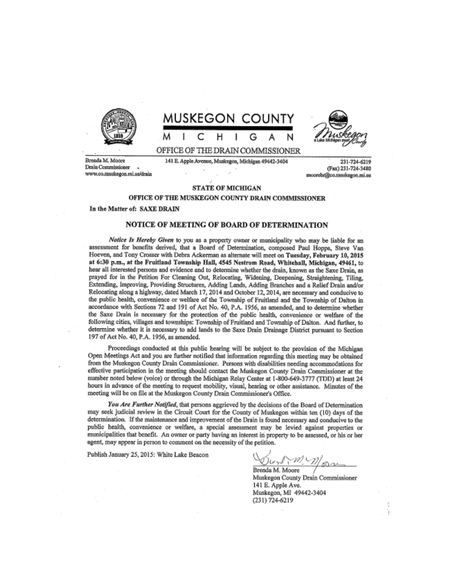





Brenda M. Moore Drain Commissioner www.co.muskegon.mi.us/drain 141 E. Apple Avenue, Musicegon, Michigan 49442-3404

231-724-6219 (Fax) 231-724-3480 moorebr@co.muskegon.mi.us

#### **STATE OF MICHIGAN**

#### OFFICE OF THE MUSKEGON COUNTY DRAIN COMMISSIONER

In the Matter of: SAXE DRAIN

#### NOTICE OF MEETING OF BOARD OF DETERMINATION

Notice Is Hereby Given to you as a property owner or municipality who may be liable for an assessment for benefits derived, that a Board of Determination, composed Paul Hoppa, Steve Van Hoeven, and Tony Crosser with Debra Ackerman as alternate will meet on Tuesday, February 10, 2015 at 6:30 p.m., at the Fruitland Township Hall, 4545 Nestrom Road, Whitehall, Michigan, 49461, to hear all interested persons and evidence and to determine whether the drain, known as the Saxe Drain, as prayed for in the Petition For Cleaning Out, Relocating, Widening, Deepening, Straightening, Tiling, Extending, Improving, Providing Structures, Adding Lands, Adding Branches and a Relief Drain and/or Relocating along a highway, dated March 17, 2014 and October 12, 2014, are necessary and conducive to the public health, convenience or welfare of the Township of Fruitland and the Township of Dalton in accordance with Sections 72 and 191 of Act No. 40, P.A. 1956, as amended, and to determine whether the Saxe Drain is necessary for the protection of the public health, convenience or welfare of the following cities, villages and townships: Township of Fruitland and Township of Dalton. And further, to determine whether it is necessary to add lands to the Saxe Drain Drainage District pursuant to Section 197 of Act No. 40, P.A. 1956, as amended.

Proceedings conducted at this public hearing will be subject to the provision of the Michigan Open Meetings Act and you are further notified that information regarding this meeting may be obtained from the Muskegon County Drain Commissioner. Persons with disabilities needing accommodations for effective participation in the meeting should contact the Muskegon County Drain Commissioner at the number noted below (voice) or through the Michigan Relay Center at 1-800-649-3777 (TDD) at least 24 hours in advance of the meeting to request mobility, visual, hearing or other assistance. Minutes of the meeting will be on file at the Muskegon County Drain Commissioner's Office.

You Are Further Notified, that persons aggrieved by the decisions of the Board of Determination may seek judicial review in the Circuit Court for the County of Muskegon within ten (10) days of the determination. If the maintenance and improvement of the Drain is found necessary and conducive to the public health, convenience or welfare, a special assessment may be levied against properties or municipalities that benefit. An owner or party having an interest in property to be assessed, or his or her agent, may appear in person to comment on the necessity of the petition.

Publish January 25, 2015: White Lake Beacon

Dunkn More

Brenda M. Moore Muskegon County Drain Commissioner 141 E. Apple Ave. Muskegon, MI 49442-3404 (231) 724-6219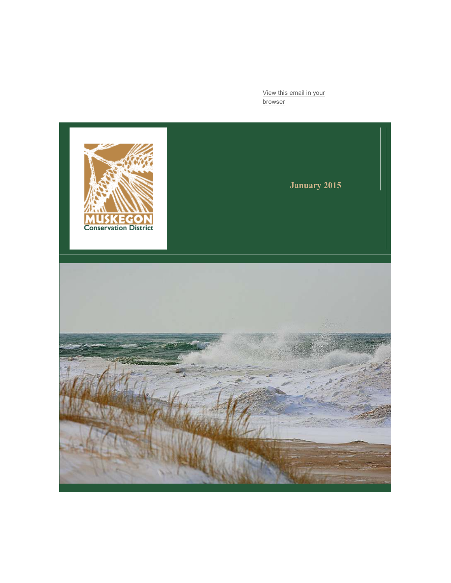View this email in your browser

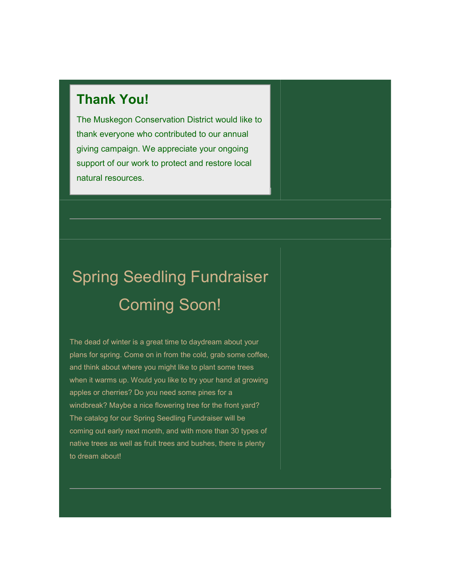## Thank You!

The Muskegon Conservation District would like to thank everyone who contributed to our annual giving campaign. We appreciate your ongoing support of our work to protect and restore local natural resources.

# Spring Seedling Fundraiser Coming Soon!

The dead of winter is a great time to daydream about your plans for spring. Come on in from the cold, grab some coffee, and think about where you might like to plant some trees when it warms up. Would you like to try your hand at growing apples or cherries? Do you need some pines for a windbreak? Maybe a nice flowering tree for the front yard? The catalog for our Spring Seedling Fundraiser will be coming out early next month, and with more than 30 types of native trees as well as fruit trees and bushes, there is plenty to dream about!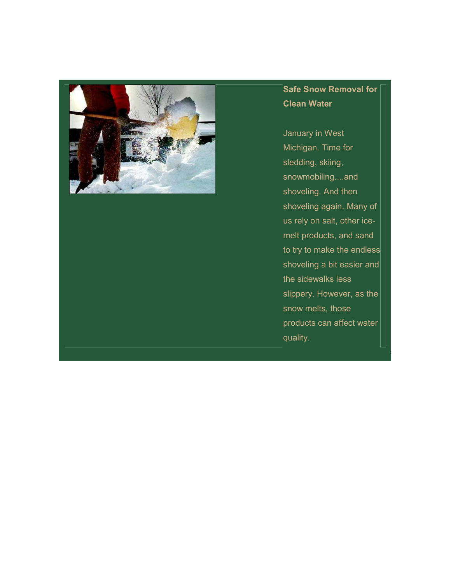

### Safe Snow Removal for Clean Water

January in West Michigan. Time for sledding, skiing, snowmobiling....and shoveling. And then shoveling again. Many of us rely on salt, other icemelt products, and sand to try to make the endless shoveling a bit easier and the sidewalks less slippery. However, as the snow melts, those products can affect water quality.